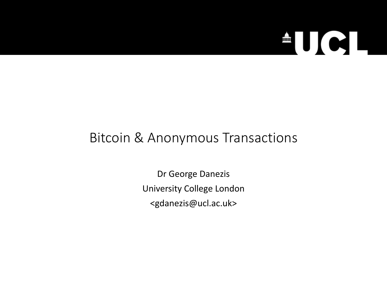

### Bitcoin & Anonymous Transactions

Dr George Danezis University College London <gdanezis@ucl.ac.uk>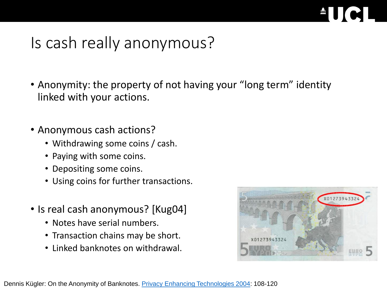

### Is cash really anonymous?

- Anonymity: the property of not having your "long term" identity linked with your actions.
- Anonymous cash actions?
	- Withdrawing some coins / cash.
	- Paying with some coins.
	- Depositing some coins.
	- Using coins for further transactions.
- Is real cash anonymous? [Kug04]
	- Notes have serial numbers.
	- Transaction chains may be short.
	- Linked banknotes on withdrawal.

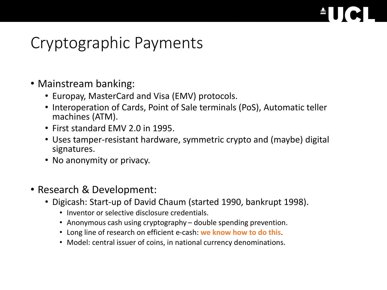### Cryptographic Payments

- Mainstream banking:
	- Europay, MasterCard and Visa (EMV) protocols.
	- Interoperation of Cards, Point of Sale terminals (PoS), Automatic teller machines (ATM).
	- First standard EMV 2.0 in 1995.
	- Uses tamper-resistant hardware, symmetric crypto and (maybe) digital signatures.
	- No anonymity or privacy.
- Research & Development:
	- Digicash: Start-up of David Chaum (started 1990, bankrupt 1998).
		- Inventor or selective disclosure credentials.
		- Anonymous cash using cryptography double spending prevention.
		- Long line of research on efficient e-cash: **we know how to do this**.
		- Model: central issuer of coins, in national currency denominations.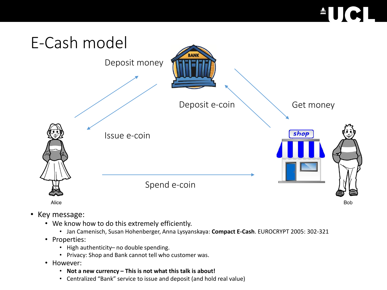# $\blacksquare$



- Key message:
	- We know how to do this extremely efficiently.
		- Jan Camenisch, Susan Hohenberger, Anna Lysyanskaya: **Compact E-Cash**. EUROCRYPT 2005: 302-321
	- Properties:
		- High authenticity– no double spending.
		- Privacy: Shop and Bank cannot tell who customer was.
	- However:
		- **Not a new currency – This is not what this talk is about!**
		- Centralized "Bank" service to issue and deposit (and hold real value)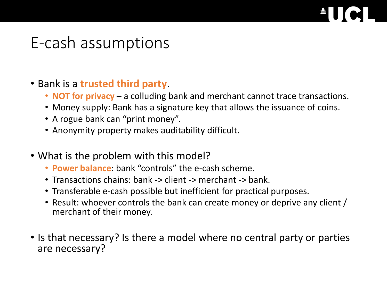### E-cash assumptions

### • Bank is a **trusted third party**.

- **NOT for privacy** a colluding bank and merchant cannot trace transactions.
- Money supply: Bank has a signature key that allows the issuance of coins.
- A rogue bank can "print money".
- Anonymity property makes auditability difficult.
- What is the problem with this model?
	- **Power balance**: bank "controls" the e-cash scheme.
	- Transactions chains: bank -> client -> merchant -> bank.
	- Transferable e-cash possible but inefficient for practical purposes.
	- Result: whoever controls the bank can create money or deprive any client / merchant of their money.
- Is that necessary? Is there a model where no central party or parties are necessary?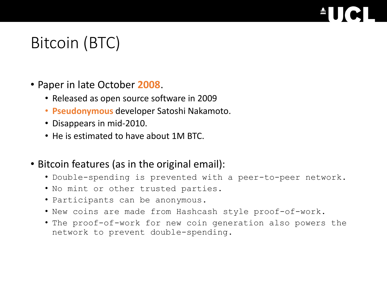## Bitcoin (BTC)

- Paper in late October **2008**.
	- Released as open source software in 2009
	- **Pseudonymous** developer Satoshi Nakamoto.
	- Disappears in mid-2010.
	- He is estimated to have about 1M BTC.
- Bitcoin features (as in the original email):
	- Double-spending is prevented with a peer-to-peer network.
	- No mint or other trusted parties.
	- Participants can be anonymous.
	- New coins are made from Hashcash style proof-of-work.
	- The proof-of-work for new coin generation also powers the network to prevent double-spending.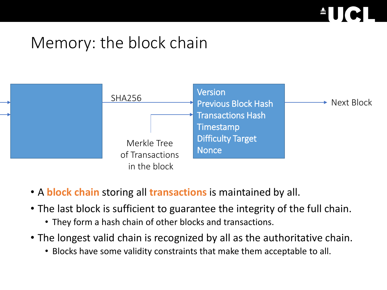

## Memory: the block chain



- A **block chain** storing all **transactions** is maintained by all.
- The last block is sufficient to guarantee the integrity of the full chain.
	- They form a hash chain of other blocks and transactions.
- The longest valid chain is recognized by all as the authoritative chain.
	- Blocks have some validity constraints that make them acceptable to all.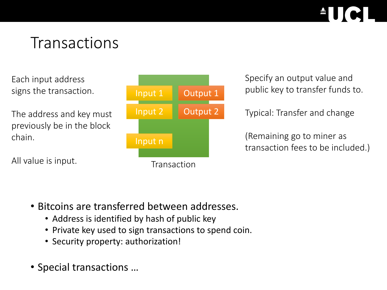### **Transactions**

Each input address signs the transaction.

The address and key must previously be in the block chain.

All value is input.



Specify an output value and public key to transfer funds to.

Typical: Transfer and change

(Remaining go to miner as transaction fees to be included.)

- Bitcoins are transferred between addresses.
	- Address is identified by hash of public key
	- Private key used to sign transactions to spend coin.
	- Security property: authorization!
- Special transactions …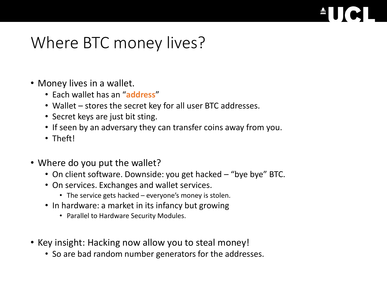### Where BTC money lives?

- Money lives in a wallet.
	- Each wallet has an "**address**"
	- Wallet stores the secret key for all user BTC addresses.
	- Secret keys are just bit sting.
	- If seen by an adversary they can transfer coins away from you.
	- Theft!
- Where do you put the wallet?
	- On client software. Downside: you get hacked "bye bye" BTC.
	- On services. Exchanges and wallet services.
		- The service gets hacked everyone's money is stolen.
	- In hardware: a market in its infancy but growing
		- Parallel to Hardware Security Modules.
- Key insight: Hacking now allow you to steal money!
	- So are bad random number generators for the addresses.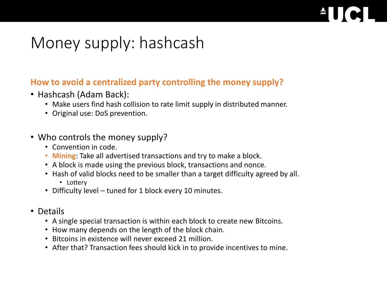## Money supply: hashcash

### **How to avoid a centralized party controlling the money supply?**

- Hashcash (Adam Back):
	- Make users find hash collision to rate limit supply in distributed manner.
	- Original use: DoS prevention.
- Who controls the money supply?
	- Convention in code.
	- **Mining**: Take all advertised transactions and try to make a block.
	- A block is made using the previous block, transactions and nonce.
	- Hash of valid blocks need to be smaller than a target difficulty agreed by all.
		- Lottery
	- Difficulty level tuned for 1 block every 10 minutes.
- Details
	- A single special transaction is within each block to create new Bitcoins.
	- How many depends on the length of the block chain.
	- Bitcoins in existence will never exceed 21 million.
	- After that? Transaction fees should kick in to provide incentives to mine.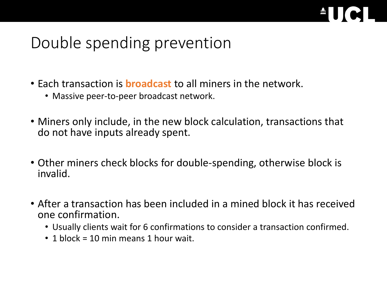

## Double spending prevention

- Each transaction is **broadcast** to all miners in the network.
	- Massive peer-to-peer broadcast network.
- Miners only include, in the new block calculation, transactions that do not have inputs already spent.
- Other miners check blocks for double-spending, otherwise block is invalid.
- After a transaction has been included in a mined block it has received one confirmation.
	- Usually clients wait for 6 confirmations to consider a transaction confirmed.
	- 1 block = 10 min means 1 hour wait.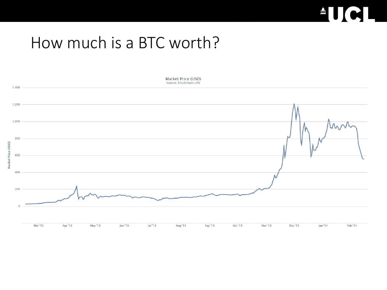# **AUCI**

### How much is a BTC worth?

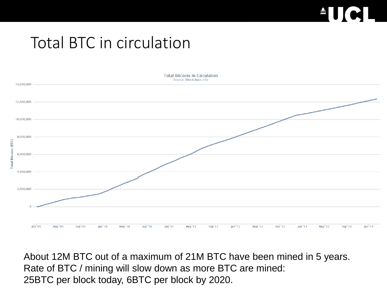# ■

### Total BTC in circulation



About 12M BTC out of a maximum of 21M BTC have been mined in 5 years. Rate of BTC / mining will slow down as more BTC are mined: 25BTC per block today, 6BTC per block by 2020.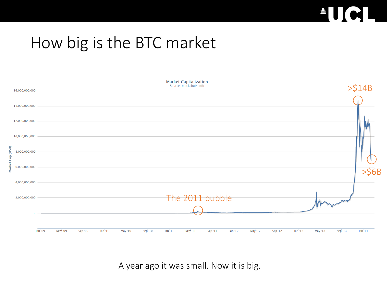

## How big is the BTC market

| 16,000,000,000 | Market Capitalization<br>Source: blockchain.info |         |         |         |         |         |                     |                 |         |        |         |         |         |         | > \$14B |          |
|----------------|--------------------------------------------------|---------|---------|---------|---------|---------|---------------------|-----------------|---------|--------|---------|---------|---------|---------|---------|----------|
| 14,000,000,000 |                                                  |         |         |         |         |         |                     |                 |         |        |         |         |         |         |         |          |
| 12,000,000,000 |                                                  |         |         |         |         |         |                     |                 |         |        |         |         |         |         |         |          |
| 10,000,000,000 |                                                  |         |         |         |         |         |                     |                 |         |        |         |         |         |         |         |          |
| 8,000,000,000  |                                                  |         |         |         |         |         |                     |                 |         |        |         |         |         |         |         |          |
| 6,000,000,000  |                                                  |         |         |         |         |         |                     |                 |         |        |         |         |         |         |         | $>$ \$6B |
| 4,000,000,000  |                                                  |         |         |         |         |         |                     |                 |         |        |         |         |         |         |         |          |
| 2,000,000,000  |                                                  |         |         |         |         |         |                     | The 2011 bubble |         |        |         |         |         |         |         |          |
|                | $\Omega$                                         |         |         |         |         |         |                     |                 |         |        |         |         |         |         |         |          |
|                | Jan '09                                          | May '09 | Sep '09 | Jan '10 | May '10 | Sep '10 | Jan <sup>'</sup> 11 | May '11         | Sep '11 | Jan'12 | May '12 | Sep '12 | Jan '13 | May '13 | Sep '13 | Jan '14  |

A year ago it was small. Now it is big.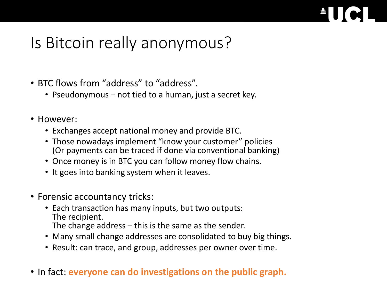## Is Bitcoin really anonymous?

- BTC flows from "address" to "address".
	- Pseudonymous not tied to a human, just a secret key.
- However:
	- Exchanges accept national money and provide BTC.
	- Those nowadays implement "know your customer" policies (Or payments can be traced if done via conventional banking)
	- Once money is in BTC you can follow money flow chains.
	- It goes into banking system when it leaves.
- Forensic accountancy tricks:
	- Each transaction has many inputs, but two outputs: The recipient. The change address  $-$  this is the same as the sender.
	- Many small change addresses are consolidated to buy big things.
	- Result: can trace, and group, addresses per owner over time.
- In fact: **everyone can do investigations on the public graph.**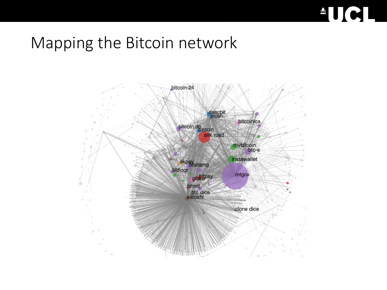

### Mapping the Bitcoin network

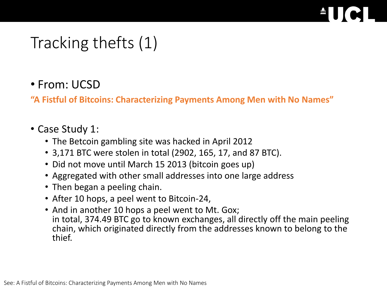## Tracking thefts (1)

### • From: UCSD

**"A Fistful of Bitcoins: Characterizing Payments Among Men with No Names"**

### • Case Study 1:

- The Betcoin gambling site was hacked in April 2012
- 3,171 BTC were stolen in total (2902, 165, 17, and 87 BTC).
- Did not move until March 15 2013 (bitcoin goes up)
- Aggregated with other small addresses into one large address
- Then began a peeling chain.
- After 10 hops, a peel went to Bitcoin-24,
- And in another 10 hops a peel went to Mt. Gox; in total, 374.49 BTC go to known exchanges, all directly off the main peeling chain, which originated directly from the addresses known to belong to the thief.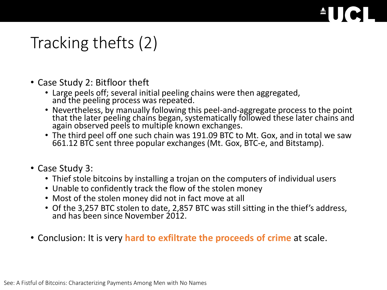## Tracking thefts (2)

- Case Study 2: Bitfloor theft
	- Large peels off; several initial peeling chains were then aggregated, and the peeling process was repeated.
	- Nevertheless, by manually following this peel-and-aggregate process to the point that the later peeling chains began, systematically followed these later chains and again observed peels to multiple known exchanges.
	- The third peel off one such chain was 191.09 BTC to Mt. Gox, and in total we saw 661.12 BTC sent three popular exchanges (Mt. Gox, BTC-e, and Bitstamp).
- Case Study 3:
	- Thief stole bitcoins by installing a trojan on the computers of individual users
	- Unable to confidently track the flow of the stolen money
	- Most of the stolen money did not in fact move at all
	- Of the 3,257 BTC stolen to date, 2,857 BTC was still sitting in the thief's address, and has been since November 2012
- Conclusion: It is very **hard to exfiltrate the proceeds of crime** at scale.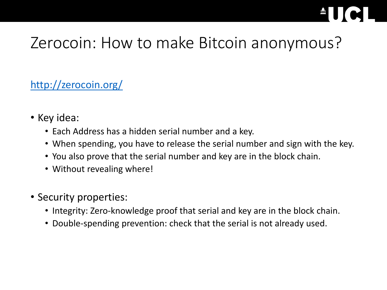## Zerocoin: How to make Bitcoin anonymous?

### <http://zerocoin.org/>

- Key idea:
	- Each Address has a hidden serial number and a key.
	- When spending, you have to release the serial number and sign with the key.
	- You also prove that the serial number and key are in the block chain.
	- Without revealing where!
- Security properties:
	- Integrity: Zero-knowledge proof that serial and key are in the block chain.
	- Double-spending prevention: check that the serial is not already used.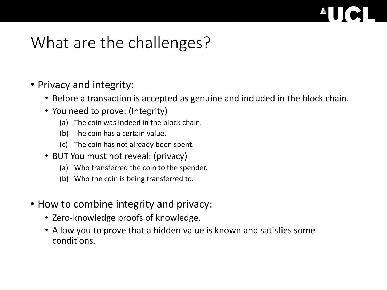### What are the challenges?

- Privacy and integrity:
	- Before a transaction is accepted as genuine and included in the block chain.
	- You need to prove: (Integrity)
		- (a) The coin was indeed in the block chain.
		- (b) The coin has a certain value.
		- (c) The coin has not already been spent.
	- BUT You must not reveal: (privacy)
		- (a) Who transferred the coin to the spender.
		- (b) Who the coin is being transferred to.
- How to combine integrity and privacy:
	- Zero-knowledge proofs of knowledge.
	- Allow you to prove that a hidden value is known and satisfies some conditions.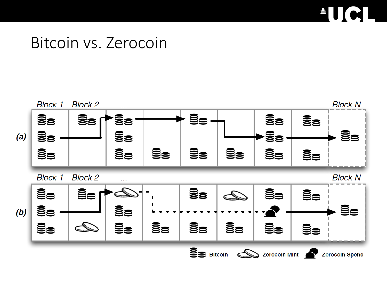# $\triangle$ U $\in$

### Bitcoin vs. Zerocoin

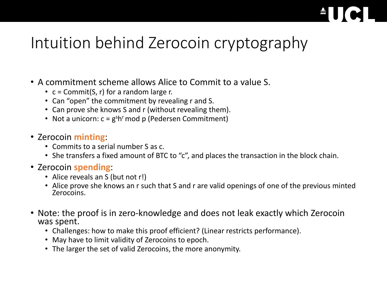## Intuition behind Zerocoin cryptography

- A commitment scheme allows Alice to Commit to a value S.
	- $c =$  Commit(S, r) for a random large r.
	- Can "open" the commitment by revealing r and S.
	- Can prove she knows S and r (without revealing them).
	- Not a unicorn:  $c = g<sup>s</sup>h<sup>r</sup>$  mod p (Pedersen Commitment)
- Zerocoin **minting**:
	- Commits to a serial number S as c.
	- She transfers a fixed amount of BTC to "c", and places the transaction in the block chain.
- Zerocoin **spending**:
	- Alice reveals an S (but not r!)
	- Alice prove she knows an r such that S and r are valid openings of one of the previous minted Zerocoins.
- Note: the proof is in zero-knowledge and does not leak exactly which Zerocoin was spent.
	- Challenges: how to make this proof efficient? (Linear restricts performance).
	- May have to limit validity of Zerocoins to epoch.
	- The larger the set of valid Zerocoins, the more anonymity.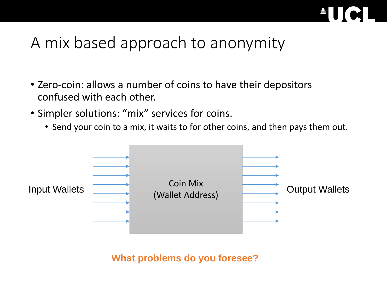

## A mix based approach to anonymity

- Zero-coin: allows a number of coins to have their depositors confused with each other.
- Simpler solutions: "mix" services for coins.
	- Send your coin to a mix, it waits to for other coins, and then pays them out.



**What problems do you foresee?**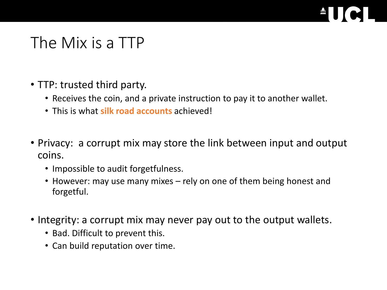# **diffusion**

### The Mix is a TTP

- TTP: trusted third party.
	- Receives the coin, and a private instruction to pay it to another wallet.
	- This is what **silk road accounts** achieved!
- Privacy: a corrupt mix may store the link between input and output coins.
	- Impossible to audit forgetfulness.
	- However: may use many mixes rely on one of them being honest and forgetful.
- Integrity: a corrupt mix may never pay out to the output wallets.
	- Bad. Difficult to prevent this.
	- Can build reputation over time.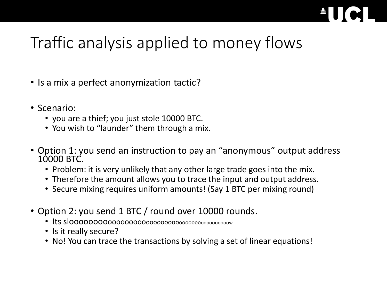## Traffic analysis applied to money flows

- Is a mix a perfect anonymization tactic?
- Scenario:
	- you are a thief; you just stole 10000 BTC.
	- You wish to "launder" them through a mix.
- Option 1: you send an instruction to pay an "anonymous" output address 10000 BTC.
	- Problem: it is very unlikely that any other large trade goes into the mix.
	- Therefore the amount allows you to trace the input and output address.
	- Secure mixing requires uniform amounts! (Say 1 BTC per mixing round)
- Option 2: you send 1 BTC / round over 10000 rounds.
	- Its slooooooooooooooooooooooooooooooooooooooooooo<sup>w</sup>
	- Is it really secure?
	- No! You can trace the transactions by solving a set of linear equations!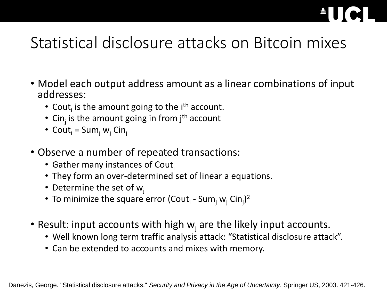# and the set of the set of the set of the set of the set of the set of the set of the set of the set of the set of the set of the set of the set of the set of the set of the set of the set of the set of the set of the set o

## Statistical disclosure attacks on Bitcoin mixes

- Model each output address amount as a linear combinations of input addresses:
	- Cout<sub>i</sub> is the amount going to the i<sup>th</sup> account.
	- Cin<sub>j</sub> is the amount going in from j<sup>th</sup> account
	- Cout<sub>i</sub> = Sum<sub>i</sub> w<sub>i</sub> Cin<sub>i</sub>
- Observe a number of repeated transactions:
	- Gather many instances of Cout $_i$
	- They form an over-determined set of linear a equations.
	- Determine the set of  $w_i$
	- To minimize the square error (Cout<sub>i</sub> Sum<sub>j</sub> w<sub>j</sub> Cin<sub>j</sub>)<sup>2</sup>
- Result: input accounts with high  $w_j$  are the likely input accounts.
	- Well known long term traffic analysis attack: "Statistical disclosure attack".
	- Can be extended to accounts and mixes with memory.

Danezis, George. "Statistical disclosure attacks." *Security and Privacy in the Age of Uncertainty*. Springer US, 2003. 421-426.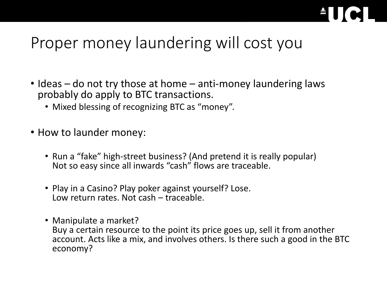

## Proper money laundering will cost you

- Ideas do not try those at home anti-money laundering laws probably do apply to BTC transactions.
	- Mixed blessing of recognizing BTC as "money".
- How to launder money:
	- Run a "fake" high-street business? (And pretend it is really popular) Not so easy since all inwards "cash" flows are traceable.
	- Play in a Casino? Play poker against yourself? Lose. Low return rates. Not cash – traceable.
	- Manipulate a market? Buy a certain resource to the point its price goes up, sell it from another account. Acts like a mix, and involves others. Is there such a good in the BTC economy?